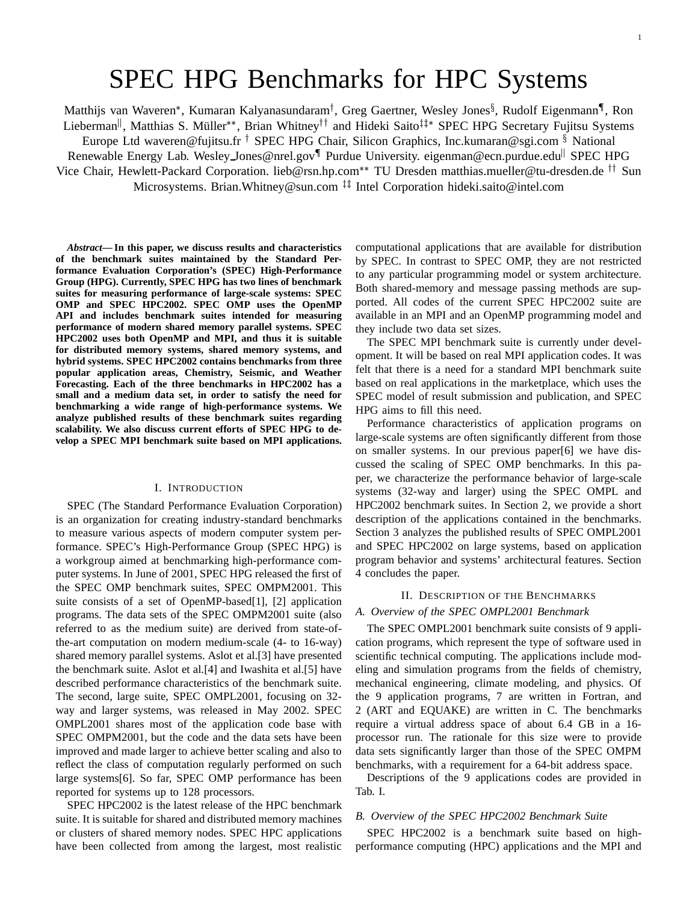# SPEC HPG Benchmarks for HPC Systems

Matthijs van Waveren\*, Kumaran Kalyanasundaram<sup>†</sup>, Greg Gaertner, Wesley Jones<sup>§</sup>, Rudolf Eigenmann¶, Ron

Lieberman<sup>||</sup>, Matthias S. Müller\*\*, Brian Whitney<sup>††</sup> and Hideki Saito<sup>‡‡</sup>\* SPEC HPG Secretary Fujitsu Systems Europe Ltd waveren@fujitsu.fr <sup>†</sup> SPEC HPG Chair, Silicon Graphics, Inc.kumaran@sgi.com § National

Renewable Energy Lab. Wesley Jones@nrel.gov¶ Purdue University. eigenman@ecn.purdue.edu<sup>||</sup> SPEC HPG

Vice Chair, Hewlett-Packard Corporation. lieb@rsn.hp.com<sup>\*\*</sup> TU Dresden matthias.mueller@tu-dresden.de <sup>††</sup> Sun Microsystems. Brian.Whitney@sun.com<sup>##</sup> Intel Corporation hideki.saito@intel.com

*Abstract***— In this paper, we discuss results and characteristics of the benchmark suites maintained by the Standard Performance Evaluation Corporation's (SPEC) High-Performance Group (HPG). Currently, SPEC HPG has two lines of benchmark suites for measuring performance of large-scale systems: SPEC OMP and SPEC HPC2002. SPEC OMP uses the OpenMP API and includes benchmark suites intended for measuring performance of modern shared memory parallel systems. SPEC HPC2002 uses both OpenMP and MPI, and thus it is suitable for distributed memory systems, shared memory systems, and hybrid systems. SPEC HPC2002 contains benchmarks from three popular application areas, Chemistry, Seismic, and Weather Forecasting. Each of the three benchmarks in HPC2002 has a small and a medium data set, in order to satisfy the need for benchmarking a wide range of high-performance systems. We analyze published results of these benchmark suites regarding scalability. We also discuss current efforts of SPEC HPG to develop a SPEC MPI benchmark suite based on MPI applications.**

#### I. INTRODUCTION

SPEC (The Standard Performance Evaluation Corporation) is an organization for creating industry-standard benchmarks to measure various aspects of modern computer system performance. SPEC's High-Performance Group (SPEC HPG) is a workgroup aimed at benchmarking high-performance computer systems. In June of 2001, SPEC HPG released the first of the SPEC OMP benchmark suites, SPEC OMPM2001. This suite consists of a set of OpenMP-based[1], [2] application programs. The data sets of the SPEC OMPM2001 suite (also referred to as the medium suite) are derived from state-ofthe-art computation on modern medium-scale (4- to 16-way) shared memory parallel systems. Aslot et al.[3] have presented the benchmark suite. Aslot et al.[4] and Iwashita et al.[5] have described performance characteristics of the benchmark suite. The second, large suite, SPEC OMPL2001, focusing on 32 way and larger systems, was released in May 2002. SPEC OMPL2001 shares most of the application code base with SPEC OMPM2001, but the code and the data sets have been improved and made larger to achieve better scaling and also to reflect the class of computation regularly performed on such large systems[6]. So far, SPEC OMP performance has been reported for systems up to 128 processors.

SPEC HPC2002 is the latest release of the HPC benchmark suite. It is suitable for shared and distributed memory machines or clusters of shared memory nodes. SPEC HPC applications have been collected from among the largest, most realistic computational applications that are available for distribution by SPEC. In contrast to SPEC OMP, they are not restricted to any particular programming model or system architecture. Both shared-memory and message passing methods are supported. All codes of the current SPEC HPC2002 suite are available in an MPI and an OpenMP programming model and they include two data set sizes.

The SPEC MPI benchmark suite is currently under development. It will be based on real MPI application codes. It was felt that there is a need for a standard MPI benchmark suite based on real applications in the marketplace, which uses the SPEC model of result submission and publication, and SPEC HPG aims to fill this need.

Performance characteristics of application programs on large-scale systems are often significantly different from those on smaller systems. In our previous paper[6] we have discussed the scaling of SPEC OMP benchmarks. In this paper, we characterize the performance behavior of large-scale systems (32-way and larger) using the SPEC OMPL and HPC2002 benchmark suites. In Section 2, we provide a short description of the applications contained in the benchmarks. Section 3 analyzes the published results of SPEC OMPL2001 and SPEC HPC2002 on large systems, based on application program behavior and systems' architectural features. Section 4 concludes the paper.

# II. DESCRIPTION OF THE BENCHMARKS

# *A. Overview of the SPEC OMPL2001 Benchmark*

The SPEC OMPL2001 benchmark suite consists of 9 application programs, which represent the type of software used in scientific technical computing. The applications include modeling and simulation programs from the fields of chemistry, mechanical engineering, climate modeling, and physics. Of the 9 application programs, 7 are written in Fortran, and 2 (ART and EQUAKE) are written in C. The benchmarks require a virtual address space of about 6.4 GB in a 16 processor run. The rationale for this size were to provide data sets significantly larger than those of the SPEC OMPM benchmarks, with a requirement for a 64-bit address space.

Descriptions of the 9 applications codes are provided in Tab. I.

# *B. Overview of the SPEC HPC2002 Benchmark Suite*

SPEC HPC2002 is a benchmark suite based on highperformance computing (HPC) applications and the MPI and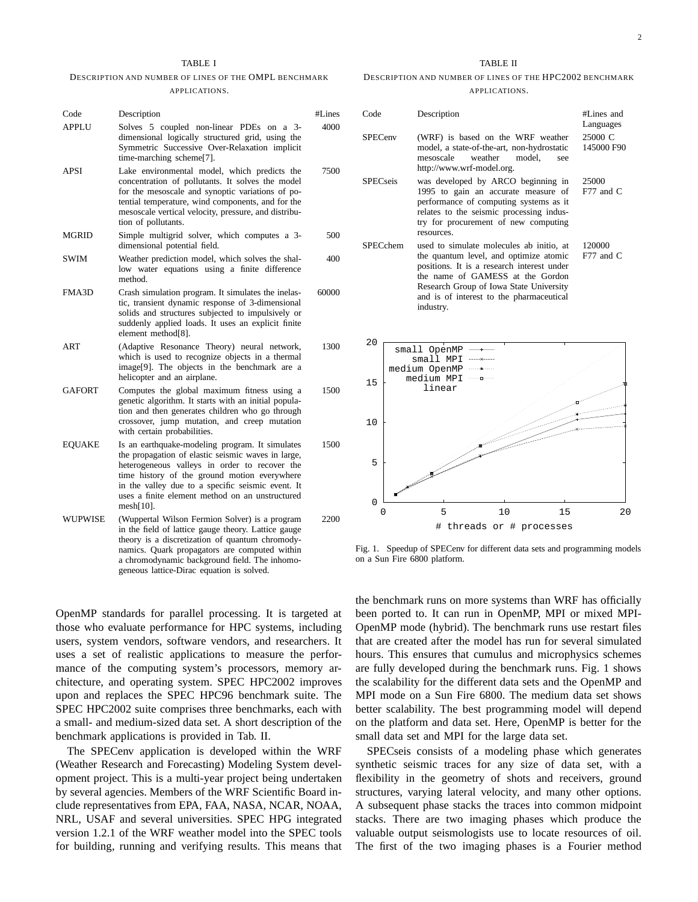#### TABLE I

### DESCRIPTION AND NUMBER OF LINES OF THE OMPL BENCHMARK APPLICATIONS.

| Code          | Description                                                                                                                                                                                                                                                                                                                    | #Lines |
|---------------|--------------------------------------------------------------------------------------------------------------------------------------------------------------------------------------------------------------------------------------------------------------------------------------------------------------------------------|--------|
| <b>APPLU</b>  | Solves 5 coupled non-linear PDEs on a 3-<br>dimensional logically structured grid, using the<br>Symmetric Successive Over-Relaxation implicit<br>time-marching scheme[7].                                                                                                                                                      | 4000   |
| APSI          | Lake environmental model, which predicts the<br>concentration of pollutants. It solves the model<br>for the mesoscale and synoptic variations of po-<br>tential temperature, wind components, and for the<br>mesoscale vertical velocity, pressure, and distribu-<br>tion of pollutants.                                       | 7500   |
| MGRID         | Simple multigrid solver, which computes a 3-<br>dimensional potential field.                                                                                                                                                                                                                                                   | 500    |
| SWIM          | Weather prediction model, which solves the shal-<br>low water equations using a finite difference<br>method.                                                                                                                                                                                                                   | 400    |
| FMA3D         | Crash simulation program. It simulates the inelas-<br>tic, transient dynamic response of 3-dimensional<br>solids and structures subjected to impulsively or<br>suddenly applied loads. It uses an explicit finite<br>element method[8].                                                                                        | 60000  |
| ART           | (Adaptive Resonance Theory) neural network,<br>which is used to recognize objects in a thermal<br>image <sup>[9]</sup> . The objects in the benchmark are a<br>helicopter and an airplane.                                                                                                                                     | 1300   |
| <b>GAFORT</b> | Computes the global maximum fitness using a<br>genetic algorithm. It starts with an initial popula-<br>tion and then generates children who go through<br>crossover, jump mutation, and creep mutation<br>with certain probabilities.                                                                                          | 1500   |
| <b>EQUAKE</b> | Is an earthquake-modeling program. It simulates<br>the propagation of elastic seismic waves in large,<br>heterogeneous valleys in order to recover the<br>time history of the ground motion everywhere<br>in the valley due to a specific seismic event. It<br>uses a finite element method on an unstructured<br>$mesh[10]$ . | 1500   |
| WUPWISE       | (Wuppertal Wilson Fermion Solver) is a program<br>in the field of lattice gauge theory. Lattice gauge<br>theory is a discretization of quantum chromody-<br>namics. Quark propagators are computed within<br>a chromodynamic background field. The inhomo-<br>geneous lattice-Dirac equation is solved.                        | 2200   |

OpenMP standards for parallel processing. It is targeted at those who evaluate performance for HPC systems, including users, system vendors, software vendors, and researchers. It uses a set of realistic applications to measure the performance of the computing system's processors, memory architecture, and operating system. SPEC HPC2002 improves upon and replaces the SPEC HPC96 benchmark suite. The SPEC HPC2002 suite comprises three benchmarks, each with a small- and medium-sized data set. A short description of the benchmark applications is provided in Tab. II.

The SPECenv application is developed within the WRF (Weather Research and Forecasting) Modeling System development project. This is a multi-year project being undertaken by several agencies. Members of the WRF Scientific Board include representatives from EPA, FAA, NASA, NCAR, NOAA, NRL, USAF and several universities. SPEC HPG integrated version 1.2.1 of the WRF weather model into the SPEC tools for building, running and verifying results. This means that

#### TABLE II

#### DESCRIPTION AND NUMBER OF LINES OF THE HPC2002 BENCHMARK APPLICATIONS.

| Code<br><b>SPECenv</b> |                 | Description                                                                                                                                                                                                                                                              |                                                                           | #Lines and<br>Languages |
|------------------------|-----------------|--------------------------------------------------------------------------------------------------------------------------------------------------------------------------------------------------------------------------------------------------------------------------|---------------------------------------------------------------------------|-------------------------|
|                        |                 | (WRF) is based on the WRF weather<br>model, a state-of-the-art, non-hydrostatic<br>mesoscale<br>weather<br>http://www.wrf-model.org.                                                                                                                                     | model.<br>see                                                             | 25000 C<br>145000 F90   |
| <b>SPECseis</b>        |                 | performance of computing systems as it<br>relates to the seismic processing indus-<br>try for procurement of new computing<br>resources.                                                                                                                                 | was developed by ARCO beginning in<br>1995 to gain an accurate measure of | 25000<br>F77 and C      |
|                        | <b>SPECchem</b> | used to simulate molecules ab initio, at<br>the quantum level, and optimize atomic<br>positions. It is a research interest under<br>the name of GAMESS at the Gordon<br>Research Group of Iowa State University<br>and is of interest to the pharmaceutical<br>industry. |                                                                           | 120000<br>F77 and C     |
| 20                     |                 | small OpenMP                                                                                                                                                                                                                                                             |                                                                           |                         |
| 15                     |                 | small MPI<br>medium OpenMP<br>medium MPI<br>linear                                                                                                                                                                                                                       |                                                                           |                         |
| 10                     |                 |                                                                                                                                                                                                                                                                          |                                                                           |                         |
| 5                      |                 |                                                                                                                                                                                                                                                                          |                                                                           |                         |
| 0                      |                 |                                                                                                                                                                                                                                                                          |                                                                           |                         |

Fig. 1. Speedup of SPECenv for different data sets and programming models on a Sun Fire 6800 platform.

0 5 10 15 20 # threads or # processes

the benchmark runs on more systems than WRF has officially been ported to. It can run in OpenMP, MPI or mixed MPI-OpenMP mode (hybrid). The benchmark runs use restart files that are created after the model has run for several simulated hours. This ensures that cumulus and microphysics schemes are fully developed during the benchmark runs. Fig. 1 shows the scalability for the different data sets and the OpenMP and MPI mode on a Sun Fire 6800. The medium data set shows better scalability. The best programming model will depend on the platform and data set. Here, OpenMP is better for the small data set and MPI for the large data set.

SPECseis consists of a modeling phase which generates synthetic seismic traces for any size of data set, with a flexibility in the geometry of shots and receivers, ground structures, varying lateral velocity, and many other options. A subsequent phase stacks the traces into common midpoint stacks. There are two imaging phases which produce the valuable output seismologists use to locate resources of oil. The first of the two imaging phases is a Fourier method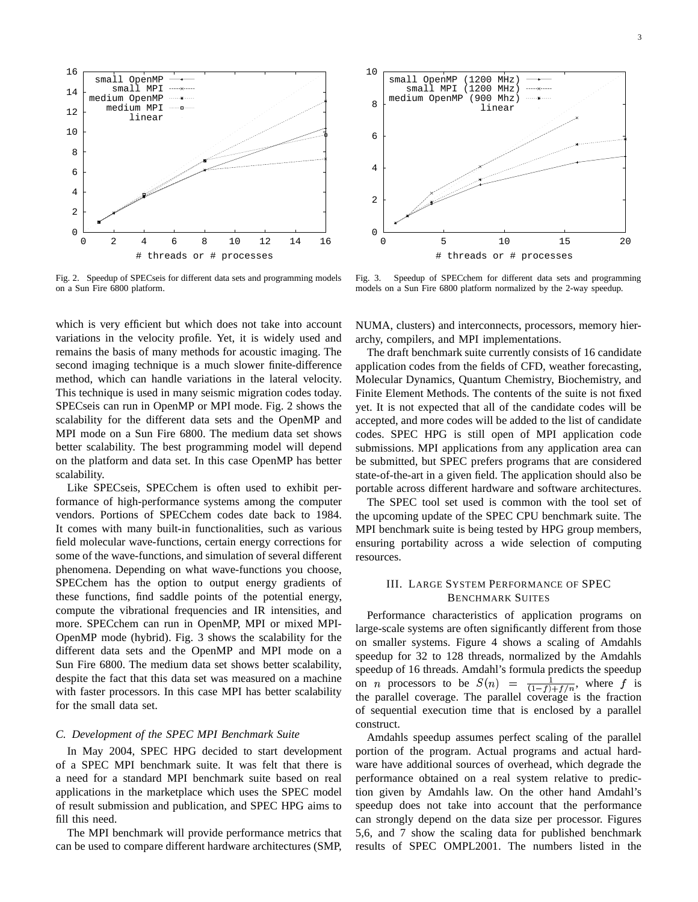

Fig. 2. Speedup of SPECseis for different data sets and programming models on a Sun Fire 6800 platform.

which is very efficient but which does not take into account variations in the velocity profile. Yet, it is widely used and remains the basis of many methods for acoustic imaging. The second imaging technique is a much slower finite-difference method, which can handle variations in the lateral velocity. This technique is used in many seismic migration codes today. SPECseis can run in OpenMP or MPI mode. Fig. 2 shows the scalability for the different data sets and the OpenMP and MPI mode on a Sun Fire 6800. The medium data set shows better scalability. The best programming model will depend on the platform and data set. In this case OpenMP has better scalability.

Like SPECseis, SPECchem is often used to exhibit performance of high-performance systems among the computer vendors. Portions of SPECchem codes date back to 1984. It comes with many built-in functionalities, such as various field molecular wave-functions, certain energy corrections for some of the wave-functions, and simulation of several different phenomena. Depending on what wave-functions you choose, SPECchem has the option to output energy gradients of these functions, find saddle points of the potential energy, compute the vibrational frequencies and IR intensities, and more. SPECchem can run in OpenMP, MPI or mixed MPI-OpenMP mode (hybrid). Fig. 3 shows the scalability for the different data sets and the OpenMP and MPI mode on a Sun Fire 6800. The medium data set shows better scalability, despite the fact that this data set was measured on a machine with faster processors. In this case MPI has better scalability for the small data set.

# *C. Development of the SPEC MPI Benchmark Suite*

In May 2004, SPEC HPG decided to start development of a SPEC MPI benchmark suite. It was felt that there is a need for a standard MPI benchmark suite based on real applications in the marketplace which uses the SPEC model of result submission and publication, and SPEC HPG aims to fill this need.

The MPI benchmark will provide performance metrics that can be used to compare different hardware architectures (SMP,



Fig. 3. Speedup of SPECchem for different data sets and programming models on a Sun Fire 6800 platform normalized by the 2-way speedup.

NUMA, clusters) and interconnects, processors, memory hierarchy, compilers, and MPI implementations.

The draft benchmark suite currently consists of 16 candidate application codes from the fields of CFD, weather forecasting, Molecular Dynamics, Quantum Chemistry, Biochemistry, and Finite Element Methods. The contents of the suite is not fixed yet. It is not expected that all of the candidate codes will be accepted, and more codes will be added to the list of candidate codes. SPEC HPG is still open of MPI application code submissions. MPI applications from any application area can be submitted, but SPEC prefers programs that are considered state-of-the-art in a given field. The application should also be portable across different hardware and software architectures.

The SPEC tool set used is common with the tool set of the upcoming update of the SPEC CPU benchmark suite. The MPI benchmark suite is being tested by HPG group members, ensuring portability across a wide selection of computing resources.

# III. LARGE SYSTEM PERFORMANCE OF SPEC BENCHMARK SUITES

Performance characteristics of application programs on large-scale systems are often significantly different from those on smaller systems. Figure 4 shows a scaling of Amdahls speedup for 32 to 128 threads, normalized by the Amdahls speedup of 16 threads. Amdahl's formula predicts the speedup on *n* processors to be  $S(n) = \frac{1}{(1-f)+f/n}$ , where f is the parallel coverage. The parallel coverage is the fraction of sequential execution time that is enclosed by a parallel construct.

Amdahls speedup assumes perfect scaling of the parallel portion of the program. Actual programs and actual hardware have additional sources of overhead, which degrade the performance obtained on a real system relative to prediction given by Amdahls law. On the other hand Amdahl's speedup does not take into account that the performance can strongly depend on the data size per processor. Figures 5,6, and 7 show the scaling data for published benchmark results of SPEC OMPL2001. The numbers listed in the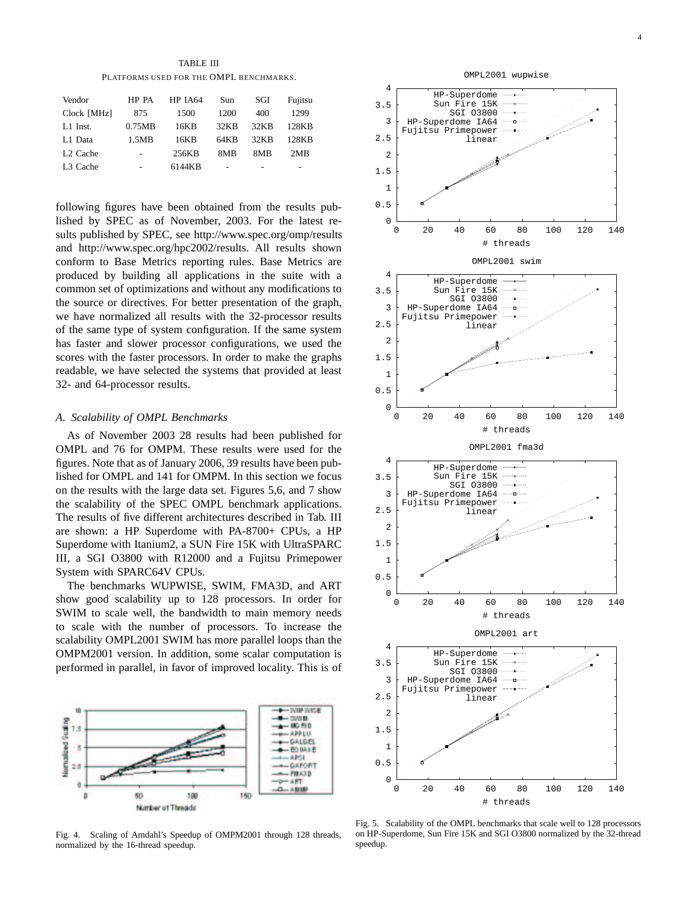TABLE III PLATFORMS USED FOR THE OMPL BENCHMARKS.

| HP PA          | <b>HP IA64</b> | Sun  | SGI  | Fujitsu |
|----------------|----------------|------|------|---------|
| 875            | 1500           | 1200 | 400  | 1299    |
| 0.75MB         | 16KB           | 32KB | 32KB | 128KB   |
| 1.5MB          | 16KB           | 64KB | 32KB | 128KB   |
| $\overline{a}$ | 256KB          | 8MB  | 8MB  | 2MR     |
| -              | 6144KB         | ۰    |      | ۰       |
|                |                |      |      |         |

following figures have been obtained from the results published by SPEC as of November, 2003. For the latest results published by SPEC, see http://www.spec.org/omp/results and http://www.spec.org/hpc2002/results. All results shown conform to Base Metrics reporting rules. Base Metrics are produced by building all applications in the suite with a common set of optimizations and without any modifications to the source or directives. For better presentation of the graph, we have normalized all results with the 32-processor results of the same type of system configuration. If the same system has faster and slower processor configurations, we used the scores with the faster processors. In order to make the graphs readable, we have selected the systems that provided at least 32- and 64-processor results.

#### *A. Scalability of OMPL Benchmarks*

As of November 2003 28 results had been published for OMPL and 76 for OMPM. These results were used for the figures. Note that as of January 2006, 39 results have been published for OMPL and 141 for OMPM. In this section we focus on the results with the large data set. Figures 5,6, and 7 show the scalability of the SPEC OMPL benchmark applications. The results of five different architectures described in Tab. III are shown: a HP Superdome with PA-8700+ CPUs, a HP Superdome with Itanium2, a SUN Fire 15K with UltraSPARC III, a SGI O3800 with R12000 and a Fujitsu Primepower System with SPARC64V CPUs.

The benchmarks WUPWISE, SWIM, FMA3D, and ART show good scalability up to 128 processors. In order for SWIM to scale well, the bandwidth to main memory needs to scale with the number of processors. To increase the scalability OMPL2001 SWIM has more parallel loops than the OMPM2001 version. In addition, some scalar computation is performed in parallel, in favor of improved locality. This is of



Fig. 4. Scaling of Amdahl's Speedup of OMPM2001 through 128 threads, normalized by the 16-thread speedup.



Fig. 5. Scalability of the OMPL benchmarks that scale well to 128 processors on HP-Superdome, Sun Fire 15K and SGI O3800 normalized by the 32-thread speedup.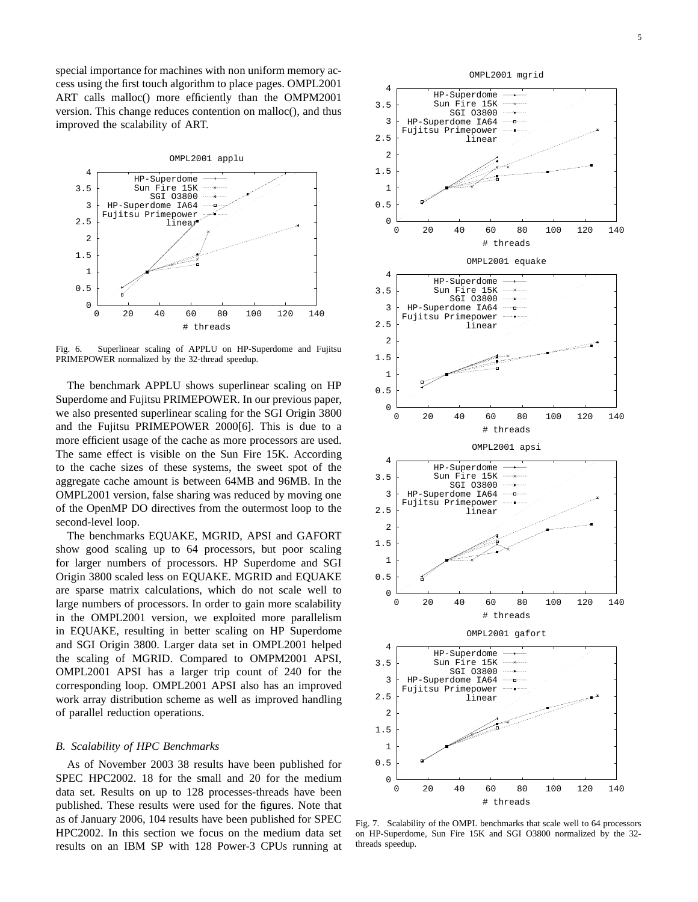special importance for machines with non uniform memory access using the first touch algorithm to place pages. OMPL2001 ART calls malloc() more efficiently than the OMPM2001 version. This change reduces contention on malloc(), and thus improved the scalability of ART.



Fig. 6. Superlinear scaling of APPLU on HP-Superdome and Fujitsu PRIMEPOWER normalized by the 32-thread speedup.

The benchmark APPLU shows superlinear scaling on HP Superdome and Fujitsu PRIMEPOWER. In our previous paper, we also presented superlinear scaling for the SGI Origin 3800 and the Fujitsu PRIMEPOWER 2000[6]. This is due to a more efficient usage of the cache as more processors are used. The same effect is visible on the Sun Fire 15K. According to the cache sizes of these systems, the sweet spot of the aggregate cache amount is between 64MB and 96MB. In the OMPL2001 version, false sharing was reduced by moving one of the OpenMP DO directives from the outermost loop to the second-level loop.

The benchmarks EQUAKE, MGRID, APSI and GAFORT show good scaling up to 64 processors, but poor scaling for larger numbers of processors. HP Superdome and SGI Origin 3800 scaled less on EQUAKE. MGRID and EQUAKE are sparse matrix calculations, which do not scale well to large numbers of processors. In order to gain more scalability in the OMPL2001 version, we exploited more parallelism in EQUAKE, resulting in better scaling on HP Superdome and SGI Origin 3800. Larger data set in OMPL2001 helped the scaling of MGRID. Compared to OMPM2001 APSI, OMPL2001 APSI has a larger trip count of 240 for the corresponding loop. OMPL2001 APSI also has an improved work array distribution scheme as well as improved handling of parallel reduction operations.

#### *B. Scalability of HPC Benchmarks*

As of November 2003 38 results have been published for SPEC HPC2002. 18 for the small and 20 for the medium data set. Results on up to 128 processes-threads have been published. These results were used for the figures. Note that as of January 2006, 104 results have been published for SPEC HPC2002. In this section we focus on the medium data set results on an IBM SP with 128 Power-3 CPUs running at



Fig. 7. Scalability of the OMPL benchmarks that scale well to 64 processors on HP-Superdome, Sun Fire 15K and SGI O3800 normalized by the 32 threads speedup.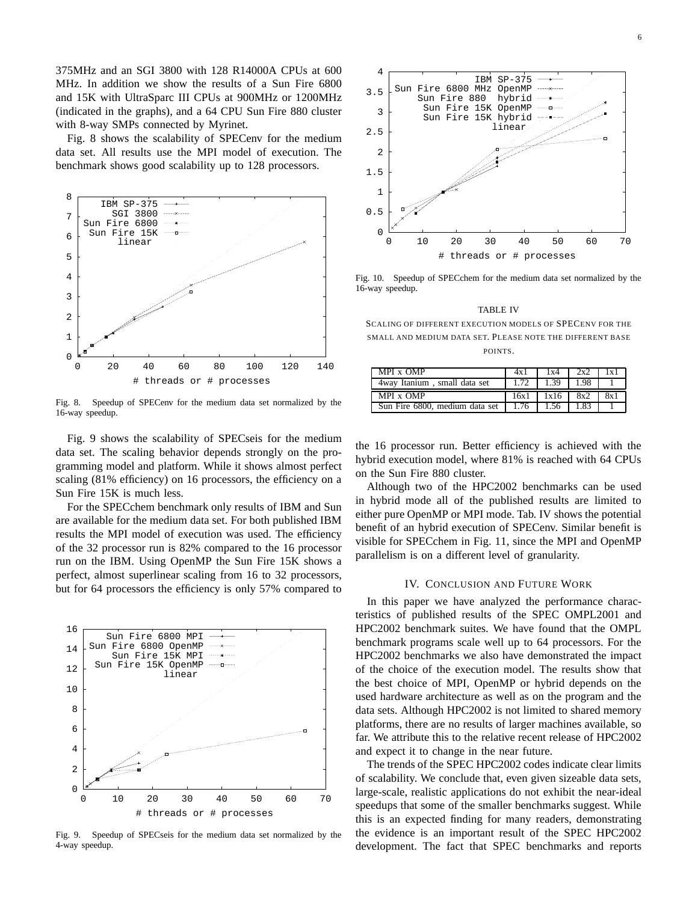375MHz and an SGI 3800 with 128 R14000A CPUs at 600 MHz. In addition we show the results of a Sun Fire 6800 and 15K with UltraSparc III CPUs at 900MHz or 1200MHz (indicated in the graphs), and a 64 CPU Sun Fire 880 cluster with 8-way SMPs connected by Myrinet.

Fig. 8 shows the scalability of SPECenv for the medium data set. All results use the MPI model of execution. The benchmark shows good scalability up to 128 processors.



Fig. 8. Speedup of SPECenv for the medium data set normalized by the 16-way speedup.

Fig. 9 shows the scalability of SPECseis for the medium data set. The scaling behavior depends strongly on the programming model and platform. While it shows almost perfect scaling (81% efficiency) on 16 processors, the efficiency on a Sun Fire 15K is much less.

For the SPECchem benchmark only results of IBM and Sun are available for the medium data set. For both published IBM results the MPI model of execution was used. The efficiency of the 32 processor run is 82% compared to the 16 processor run on the IBM. Using OpenMP the Sun Fire 15K shows a perfect, almost superlinear scaling from 16 to 32 processors, but for 64 processors the efficiency is only 57% compared to



Fig. 9. Speedup of SPECseis for the medium data set normalized by the 4-way speedup.



Fig. 10. Speedup of SPECchem for the medium data set normalized by the 16-way speedup.

SCALING OF DIFFERENT EXECUTION MODELS OF SPECENV FOR THE SMALL AND MEDIUM DATA SET. PLEASE NOTE THE DIFFERENT BASE POINTS.

| MPI x OMP                                           | 4x 1        | 1x4  | 2x2  | 1x1 |
|-----------------------------------------------------|-------------|------|------|-----|
| 4way Itanium, small data set                        | $1.72$ 1.39 |      | 1.98 |     |
| MPI x OMP                                           | 16x1        | 1x16 | 8x2  | 8x1 |
| Sun Fire 6800, medium data set   1.76   1.56   1.83 |             |      |      |     |

the 16 processor run. Better efficiency is achieved with the hybrid execution model, where 81% is reached with 64 CPUs on the Sun Fire 880 cluster.

Although two of the HPC2002 benchmarks can be used in hybrid mode all of the published results are limited to either pure OpenMP or MPI mode. Tab. IV shows the potential benefit of an hybrid execution of SPECenv. Similar benefit is visible for SPECchem in Fig. 11, since the MPI and OpenMP parallelism is on a different level of granularity.

# IV. CONCLUSION AND FUTURE WORK

In this paper we have analyzed the performance characteristics of published results of the SPEC OMPL2001 and HPC2002 benchmark suites. We have found that the OMPL benchmark programs scale well up to 64 processors. For the HPC2002 benchmarks we also have demonstrated the impact of the choice of the execution model. The results show that the best choice of MPI, OpenMP or hybrid depends on the used hardware architecture as well as on the program and the data sets. Although HPC2002 is not limited to shared memory platforms, there are no results of larger machines available, so far. We attribute this to the relative recent release of HPC2002 and expect it to change in the near future.

The trends of the SPEC HPC2002 codes indicate clear limits of scalability. We conclude that, even given sizeable data sets, large-scale, realistic applications do not exhibit the near-ideal speedups that some of the smaller benchmarks suggest. While this is an expected finding for many readers, demonstrating the evidence is an important result of the SPEC HPC2002 development. The fact that SPEC benchmarks and reports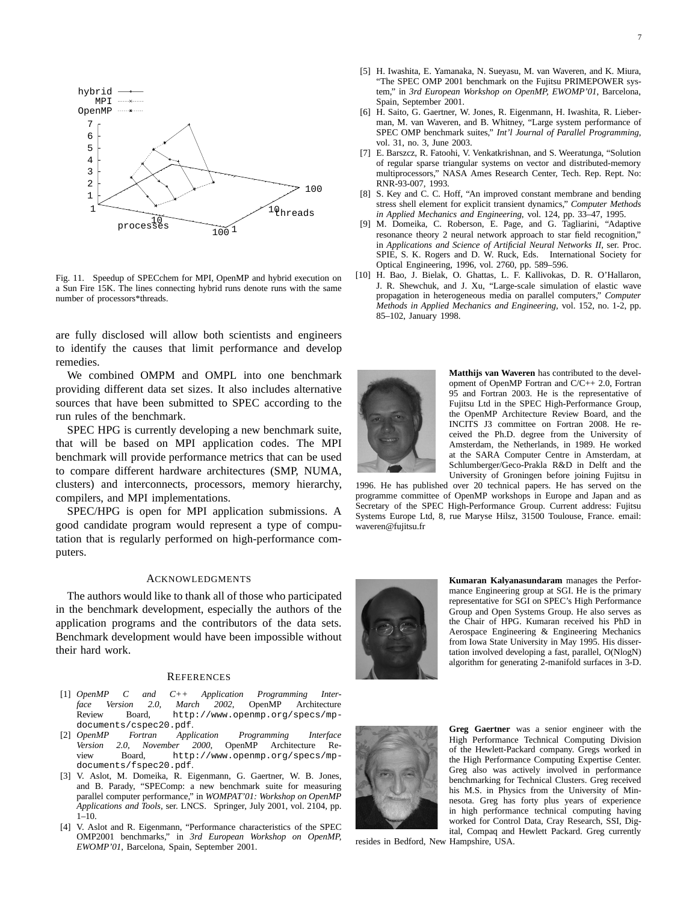

Fig. 11. Speedup of SPECchem for MPI, OpenMP and hybrid execution on a Sun Fire 15K. The lines connecting hybrid runs denote runs with the same number of processors\*threads.

are fully disclosed will allow both scientists and engineers to identify the causes that limit performance and develop remedies.

We combined OMPM and OMPL into one benchmark providing different data set sizes. It also includes alternative sources that have been submitted to SPEC according to the run rules of the benchmark.

SPEC HPG is currently developing a new benchmark suite, that will be based on MPI application codes. The MPI benchmark will provide performance metrics that can be used to compare different hardware architectures (SMP, NUMA, clusters) and interconnects, processors, memory hierarchy, compilers, and MPI implementations.

SPEC/HPG is open for MPI application submissions. A good candidate program would represent a type of computation that is regularly performed on high-performance computers.

#### ACKNOWLEDGMENTS

The authors would like to thank all of those who participated in the benchmark development, especially the authors of the application programs and the contributors of the data sets. Benchmark development would have been impossible without their hard work.

#### **REFERENCES**

- [1] *OpenMP C and C++ Application Programming Interface Version 2.0, March 2002*, OpenMP Architecture Review Board, http://www.openmp.org/specs/mpdocuments/cspec20.pdf.<br>[2] OpenMP Fortran Appl
- $Fortran$  *Application Programming Interface Version 2.0, November 2000*, OpenMP Architecture Review Board, http://www.openmp.org/specs/mpdocuments/fspec20.pdf.
- [3] V. Aslot, M. Domeika, R. Eigenmann, G. Gaertner, W. B. Jones, and B. Parady, "SPEComp: a new benchmark suite for measuring parallel computer performance," in *WOMPAT'01: Workshop on OpenMP Applications and Tools*, ser. LNCS. Springer, July 2001, vol. 2104, pp. 1–10.
- [4] V. Aslot and R. Eigenmann, "Performance characteristics of the SPEC OMP2001 benchmarks," in *3rd European Workshop on OpenMP, EWOMP'01*, Barcelona, Spain, September 2001.
- [5] H. Iwashita, E. Yamanaka, N. Sueyasu, M. van Waveren, and K. Miura, "The SPEC OMP 2001 benchmark on the Fujitsu PRIMEPOWER system," in *3rd European Workshop on OpenMP, EWOMP'01*, Barcelona, Spain, September 2001.
- [6] H. Saito, G. Gaertner, W. Jones, R. Eigenmann, H. Iwashita, R. Lieberman, M. van Waveren, and B. Whitney, "Large system performance of SPEC OMP benchmark suites," *Int'l Journal of Parallel Programming*, vol. 31, no. 3, June 2003.
- [7] E. Barszcz, R. Fatoohi, V. Venkatkrishnan, and S. Weeratunga, "Solution of regular sparse triangular systems on vector and distributed-memory multiprocessors," NASA Ames Research Center, Tech. Rep. Rept. No: RNR-93-007, 1993.
- [8] S. Key and C. C. Hoff, "An improved constant membrane and bending stress shell element for explicit transient dynamics," *Computer Methods in Applied Mechanics and Engineering*, vol. 124, pp. 33–47, 1995.
- [9] M. Domeika, C. Roberson, E. Page, and G. Tagliarini, "Adaptive resonance theory 2 neural network approach to star field recognition," in *Applications and Science of Artificial Neural Networks II*, ser. Proc. SPIE, S. K. Rogers and D. W. Ruck, Eds. International Society for Optical Engineering, 1996, vol. 2760, pp. 589–596.
- [10] H. Bao, J. Bielak, O. Ghattas, L. F. Kallivokas, D. R. O'Hallaron, J. R. Shewchuk, and J. Xu, "Large-scale simulation of elastic wave propagation in heterogeneous media on parallel computers," *Computer Methods in Applied Mechanics and Engineering*, vol. 152, no. 1-2, pp. 85–102, January 1998.



**Matthijs van Waveren** has contributed to the development of OpenMP Fortran and C/C++ 2.0, Fortran 95 and Fortran 2003. He is the representative of Fujitsu Ltd in the SPEC High-Performance Group, the OpenMP Architecture Review Board, and the INCITS J3 committee on Fortran 2008. He received the Ph.D. degree from the University of Amsterdam, the Netherlands, in 1989. He worked at the SARA Computer Centre in Amsterdam, at Schlumberger/Geco-Prakla R&D in Delft and the University of Groningen before joining Fujitsu in

1996. He has published over 20 technical papers. He has served on the programme committee of OpenMP workshops in Europe and Japan and as Secretary of the SPEC High-Performance Group. Current address: Fujitsu Systems Europe Ltd, 8, rue Maryse Hilsz, 31500 Toulouse, France. email: waveren@fujitsu.fr



**Kumaran Kalyanasundaram** manages the Performance Engineering group at SGI. He is the primary representative for SGI on SPEC's High Performance Group and Open Systems Group. He also serves as the Chair of HPG. Kumaran received his PhD in Aerospace Engineering & Engineering Mechanics from Iowa State University in May 1995. His dissertation involved developing a fast, parallel, O(NlogN) algorithm for generating 2-manifold surfaces in 3-D.



**Greg Gaertner** was a senior engineer with the High Performance Technical Computing Division of the Hewlett-Packard company. Gregs worked in the High Performance Computing Expertise Center. Greg also was actively involved in performance benchmarking for Technical Clusters. Greg received his M.S. in Physics from the University of Minnesota. Greg has forty plus years of experience in high performance technical computing having worked for Control Data, Cray Research, SSI, Digital, Compaq and Hewlett Packard. Greg currently

resides in Bedford, New Hampshire, USA.